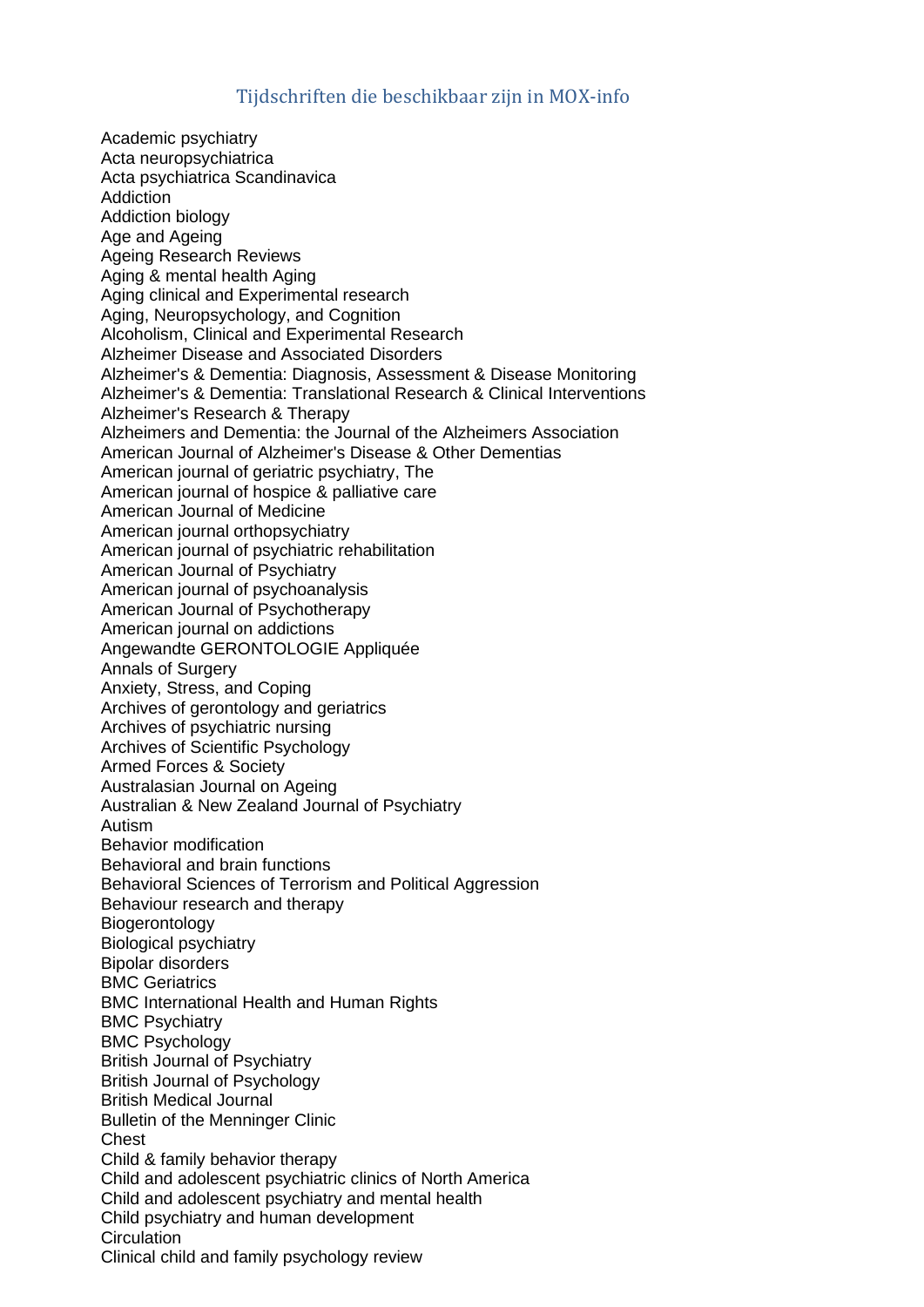## Tijdschriften die beschikbaar zijn in MOX-info

Academic psychiatry Acta neuropsychiatrica Acta psychiatrica Scandinavica **Addiction** Addiction biology Age and Ageing Ageing Research Reviews Aging & mental health Aging Aging clinical and Experimental research Aging, Neuropsychology, and Cognition Alcoholism, Clinical and Experimental Research Alzheimer Disease and Associated Disorders Alzheimer's & Dementia: Diagnosis, Assessment & Disease Monitoring Alzheimer's & Dementia: Translational Research & Clinical Interventions Alzheimer's Research & Therapy Alzheimers and Dementia: the Journal of the Alzheimers Association American Journal of Alzheimer's Disease & Other Dementias American journal of geriatric psychiatry, The American journal of hospice & palliative care American Journal of Medicine American journal orthopsychiatry American journal of psychiatric rehabilitation American Journal of Psychiatry American journal of psychoanalysis American Journal of Psychotherapy American journal on addictions Angewandte GERONTOLOGIE Appliquée Annals of Surgery Anxiety, Stress, and Coping Archives of gerontology and geriatrics Archives of psychiatric nursing Archives of Scientific Psychology Armed Forces & Society Australasian Journal on Ageing Australian & New Zealand Journal of Psychiatry Autism Behavior modification Behavioral and brain functions Behavioral Sciences of Terrorism and Political Aggression Behaviour research and therapy Biogerontology Biological psychiatry Bipolar disorders BMC Geriatrics BMC International Health and Human Rights BMC Psychiatry BMC Psychology British Journal of Psychiatry British Journal of Psychology British Medical Journal Bulletin of the Menninger Clinic **Chest** Child & family behavior therapy Child and adolescent psychiatric clinics of North America Child and adolescent psychiatry and mental health Child psychiatry and human development **Circulation** Clinical child and family psychology review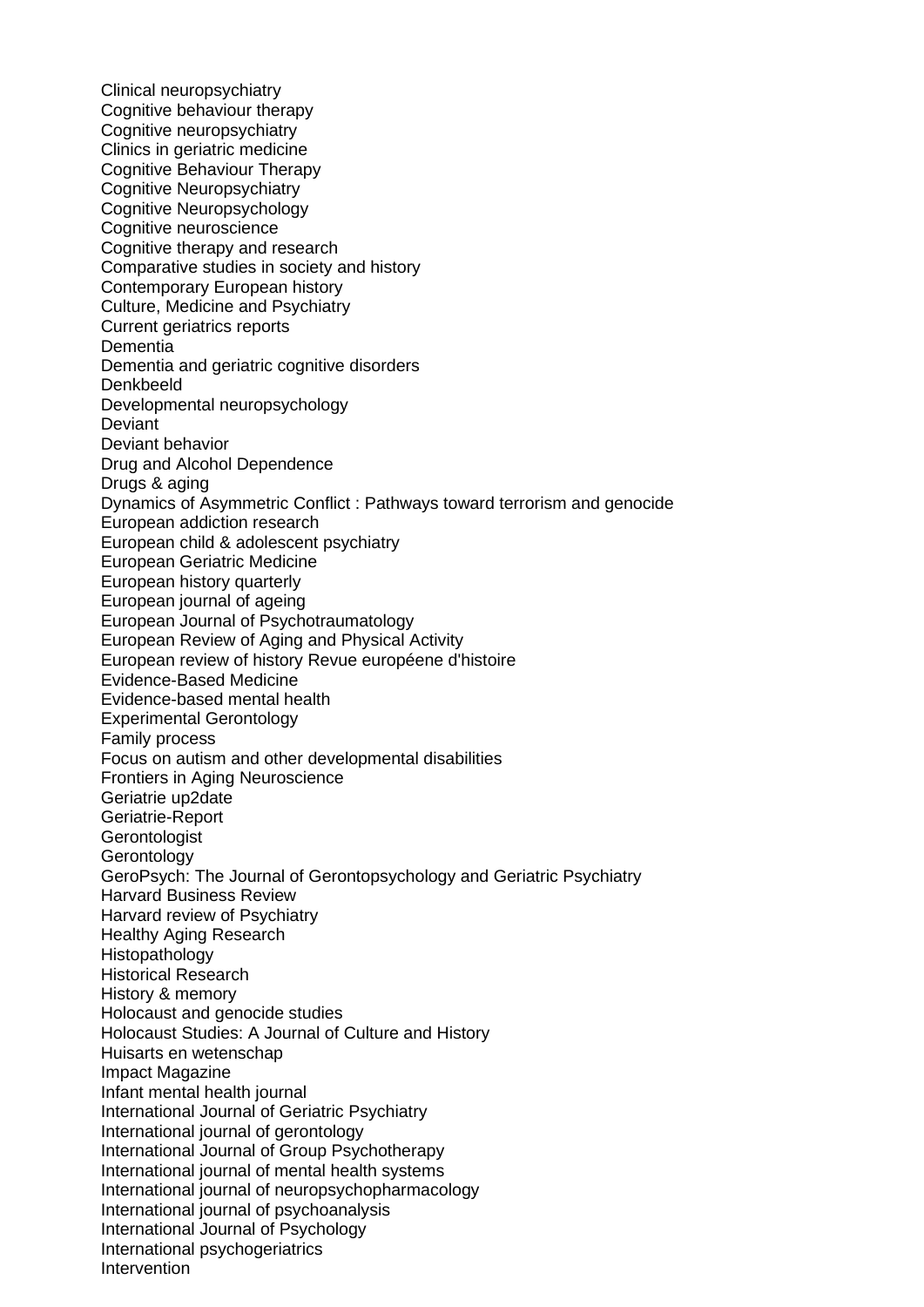Clinical neuropsychiatry Cognitive behaviour therapy Cognitive neuropsychiatry Clinics in geriatric medicine Cognitive Behaviour Therapy Cognitive Neuropsychiatry Cognitive Neuropsychology Cognitive neuroscience Cognitive therapy and research Comparative studies in society and history Contemporary European history Culture, Medicine and Psychiatry Current geriatrics reports **Dementia** Dementia and geriatric cognitive disorders Denkbeeld Developmental neuropsychology **Deviant** Deviant behavior Drug and Alcohol Dependence Drugs & aging Dynamics of Asymmetric Conflict : Pathways toward terrorism and genocide European addiction research European child & adolescent psychiatry European Geriatric Medicine European history quarterly European journal of ageing European Journal of Psychotraumatology European Review of Aging and Physical Activity European review of history Revue européene d'histoire Evidence-Based Medicine Evidence-based mental health Experimental Gerontology Family process Focus on autism and other developmental disabilities Frontiers in Aging Neuroscience Geriatrie up2date Geriatrie-Report **Gerontologist Gerontology** GeroPsych: The Journal of Gerontopsychology and Geriatric Psychiatry Harvard Business Review Harvard review of Psychiatry Healthy Aging Research Histopathology Historical Research History & memory Holocaust and genocide studies Holocaust Studies: A Journal of Culture and History Huisarts en wetenschap Impact Magazine Infant mental health journal International Journal of Geriatric Psychiatry International journal of gerontology International Journal of Group Psychotherapy International journal of mental health systems International journal of neuropsychopharmacology International journal of psychoanalysis International Journal of Psychology International psychogeriatrics Intervention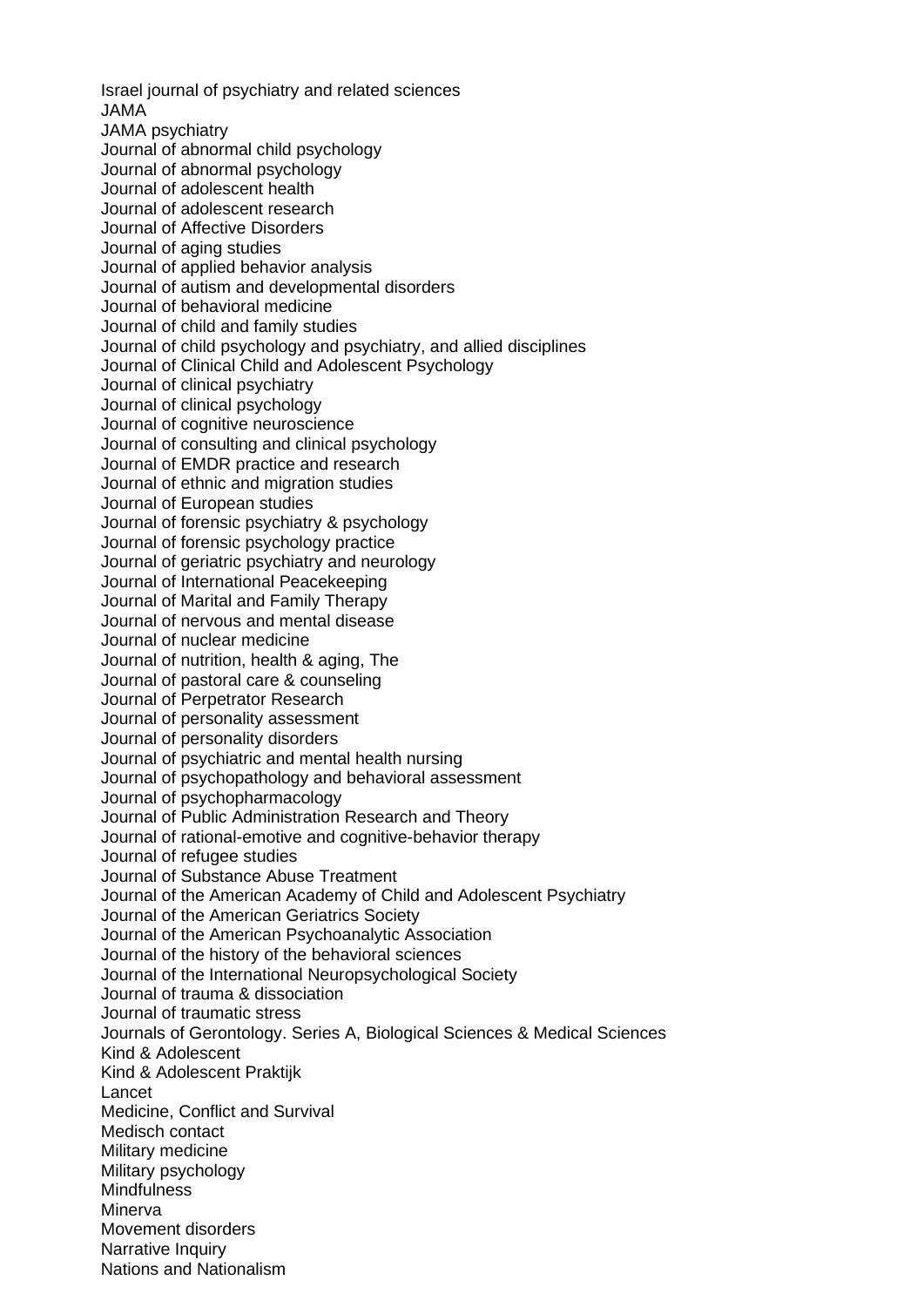Israel journal of psychiatry and related sciences JAMA JAMA psychiatry Journal of abnormal child psychology Journal of abnormal psychology Journal of adolescent health Journal of adolescent research Journal of Affective Disorders Journal of aging studies Journal of applied behavior analysis Journal of autism and developmental disorders Journal of behavioral medicine Journal of child and family studies Journal of child psychology and psychiatry, and allied disciplines Journal of Clinical Child and Adolescent Psychology Journal of clinical psychiatry Journal of clinical psychology Journal of cognitive neuroscience Journal of consulting and clinical psychology Journal of EMDR practice and research Journal of ethnic and migration studies Journal of European studies Journal of forensic psychiatry & psychology Journal of forensic psychology practice Journal of geriatric psychiatry and neurology Journal of International Peacekeeping Journal of Marital and Family Therapy Journal of nervous and mental disease Journal of nuclear medicine Journal of nutrition, health & aging, The Journal of pastoral care & counseling Journal of Perpetrator Research Journal of personality assessment Journal of personality disorders Journal of psychiatric and mental health nursing Journal of psychopathology and behavioral assessment Journal of psychopharmacology Journal of Public Administration Research and Theory Journal of rational-emotive and cognitive-behavior therapy Journal of refugee studies Journal of Substance Abuse Treatment Journal of the American Academy of Child and Adolescent Psychiatry Journal of the American Geriatrics Society Journal of the American Psychoanalytic Association Journal of the history of the behavioral sciences Journal of the International Neuropsychological Society Journal of trauma & dissociation Journal of traumatic stress Journals of Gerontology. Series A, Biological Sciences & Medical Sciences Kind & Adolescent Kind & Adolescent Praktijk Lancet Medicine, Conflict and Survival Medisch contact Military medicine Military psychology **Mindfulness** Minerva Movement disorders Narrative Inquiry Nations and Nationalism